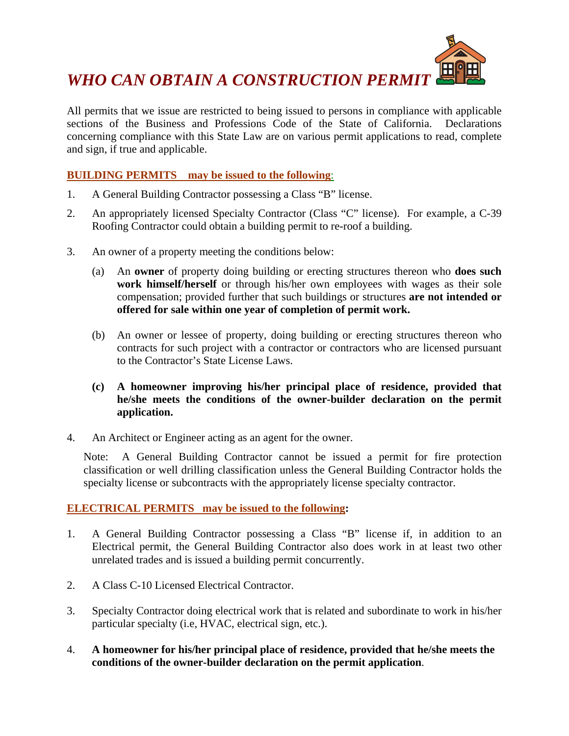

All permits that we issue are restricted to being issued to persons in compliance with applicable sections of the Business and Professions Code of the State of California. Declarations concerning compliance with this State Law are on various permit applications to read, complete and sign, if true and applicable.

### **BUILDING PERMITS may be issued to the following**:

- 1. A General Building Contractor possessing a Class "B" license.
- 2. An appropriately licensed Specialty Contractor (Class "C" license). For example, a C-39 Roofing Contractor could obtain a building permit to re-roof a building.
- 3. An owner of a property meeting the conditions below:
	- (a) An **owner** of property doing building or erecting structures thereon who **does such work himself/herself** or through his/her own employees with wages as their sole compensation; provided further that such buildings or structures **are not intended or offered for sale within one year of completion of permit work.**
	- (b) An owner or lessee of property, doing building or erecting structures thereon who contracts for such project with a contractor or contractors who are licensed pursuant to the Contractor's State License Laws.
	- **(c) A homeowner improving his/her principal place of residence, provided that he/she meets the conditions of the owner-builder declaration on the permit application.**
- 4. An Architect or Engineer acting as an agent for the owner.

Note: A General Building Contractor cannot be issued a permit for fire protection classification or well drilling classification unless the General Building Contractor holds the specialty license or subcontracts with the appropriately license specialty contractor.

#### **ELECTRICAL PERMITS may be issued to the following:**

- 1. A General Building Contractor possessing a Class "B" license if, in addition to an Electrical permit, the General Building Contractor also does work in at least two other unrelated trades and is issued a building permit concurrently.
- 2. A Class C-10 Licensed Electrical Contractor.
- 3. Specialty Contractor doing electrical work that is related and subordinate to work in his/her particular specialty (i.e, HVAC, electrical sign, etc.).
- 4. **A homeowner for his/her principal place of residence, provided that he/she meets the conditions of the owner-builder declaration on the permit application**.